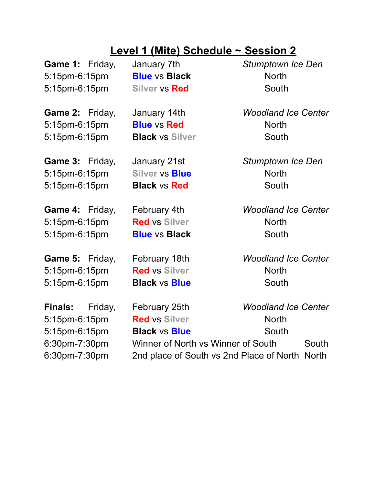## **Level 1 (Mite) Schedule ~ Session 2**

5:15pm-6:15pm **Blue** vs **Black** North 5:15pm-6:15pm **Silver** vs **Red** South

5:15pm-6:15pm **Blue** vs **Red** North 5:15pm-6:15pm **Black** vs **Silver** South

5:15pm-6:15pm **Silver** vs **Blue** North 5:15pm-6:15pm **Black** vs **Red** South

5:15pm-6:15pm **Red** vs **Silver** North 5:15pm-6:15pm **Blue** vs **Black** South

5:15pm-6:15pm **Red** vs **Silver** North 5:15pm-6:15pm **Black** vs **Blue** South

**Game 1:** Friday, January 7th *Stumptown Ice Den*

**Game 2:** Friday, January 14th *Woodland Ice Center*

**Game 3:** Friday, January 21st *Stumptown Ice Den*

**Game 4:** Friday, February 4th *Woodland Ice Center*

**Game 5:** Friday, February 18th *Woodland Ice Center*

**Finals:** Friday, February 25th *Woodland Ice Center* 5:15pm-6:15pm **Red** vs **Silver** North 5:15pm-6:15pm **Black** vs **Blue** South 6:30pm-7:30pm Winner of North vs Winner of South South 6:30pm-7:30pm 2nd place of South vs 2nd Place of North North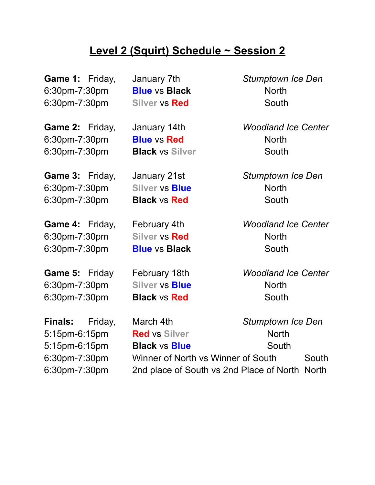## **Level 2 (Squirt) Schedule ~ Session 2**

6:30pm-7:30pm **Blue** vs **Black** North 6:30pm-7:30pm **Silver** vs **Red** South

6:30pm-7:30pm **Blue** vs **Red** North 6:30pm-7:30pm **Black** vs **Silver** South

**Game 3:** Friday, January 21st *Stumptown Ice Den* 6:30pm-7:30pm **Silver** vs **Blue** North 6:30pm-7:30pm **Black** vs **Red** South

6:30pm-7:30pm **Silver** vs **Red** North 6:30pm-7:30pm **Blue** vs **Black** South

6:30pm-7:30pm **Silver** vs **Blue** North 6:30pm-7:30pm **Black** vs **Red** South

**Game 1:** Friday, January 7th *Stumptown Ice Den*

**Game 2:** Friday, January 14th *Woodland Ice Center*

**Game 4:** Friday, February 4th *Woodland Ice Center*

**Game 5:** Friday February 18th *Woodland Ice Center*

**Finals:** Friday, March 4th *Stumptown Ice Den* 5:15pm-6:15pm **Red** vs **Silver** North 5:15pm-6:15pm **Black** vs **Blue** South 6:30pm-7:30pm Winner of North vs Winner of South South 6:30pm-7:30pm 2nd place of South vs 2nd Place of North North